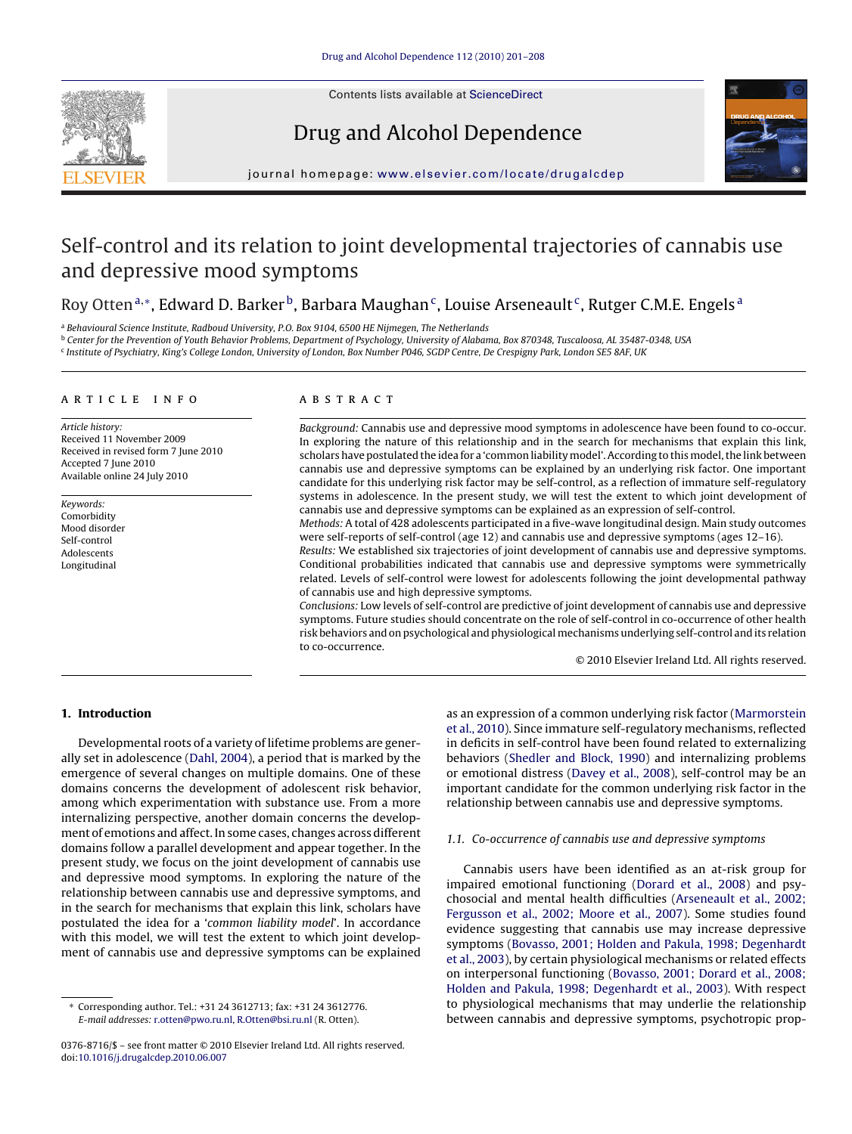

Contents lists available at [ScienceDirect](http://www.sciencedirect.com/science/journal/03768716)

# Drug and Alcohol Dependence



journal homepage: [www.elsevier.com/locate/drugalcdep](http://www.elsevier.com/locate/drugalcdep)

# Self-control and its relation to joint developmental trajectories of cannabis use and depressive mood symptoms

# Roy Otten<sup>a,∗</sup>, Edward D. Barker<sup>b</sup>, Barbara Maughan<sup>c</sup>, Louise Arseneault<sup>c</sup>, Rutger C.M.E. Engels<sup>a</sup>

<sup>a</sup> Behavioural Science Institute, Radboud University, P.O. Box 9104, 6500 HE Nijmegen, The Netherlands

<sup>b</sup> Center for the Prevention of Youth Behavior Problems, Department of Psychology, University of Alabama, Box 870348, Tuscaloosa, AL 35487-0348, USA

<sup>c</sup> Institute of Psychiatry, King's College London, University of London, Box Number P046, SGDP Centre, De Crespigny Park, London SE5 8AF, UK

#### article info

Article history: Received 11 November 2009 Received in revised form 7 June 2010 Accepted 7 June 2010 Available online 24 July 2010

Keywords: Comorbidity Mood disorder Self-control Adolescents Longitudinal

# ABSTRACT

Background: Cannabis use and depressive mood symptoms in adolescence have been found to co-occur. In exploring the nature of this relationship and in the search for mechanisms that explain this link, scholars have postulated the idea for a 'common liability model'. According to this model, the link between cannabis use and depressive symptoms can be explained by an underlying risk factor. One important candidate for this underlying risk factor may be self-control, as a reflection of immature self-regulatory systems in adolescence. In the present study, we will test the extent to which joint development of cannabis use and depressive symptoms can be explained as an expression of self-control.

Methods: A total of 428 adolescents participated in a five-wave longitudinal design. Main study outcomes were self-reports of self-control (age 12) and cannabis use and depressive symptoms (ages 12–16).

Results: We established six trajectories of joint development of cannabis use and depressive symptoms. Conditional probabilities indicated that cannabis use and depressive symptoms were symmetrically related. Levels of self-control were lowest for adolescents following the joint developmental pathway of cannabis use and high depressive symptoms.

Conclusions: Low levels of self-control are predictive of joint development of cannabis use and depressive symptoms. Future studies should concentrate on the role of self-control in co-occurrence of other health risk behaviors and on psychological and physiological mechanisms underlying self-control and its relation to co-occurrence.

© 2010 Elsevier Ireland Ltd. All rights reserved.

# **1. Introduction**

Developmental roots of a variety of lifetime problems are generally set in adolescence [\(Dahl, 2004\),](#page-6-0) a period that is marked by the emergence of several changes on multiple domains. One of these domains concerns the development of adolescent risk behavior, among which experimentation with substance use. From a more internalizing perspective, another domain concerns the development of emotions and affect. In some cases, changes across different domains follow a parallel development and appear together. In the present study, we focus on the joint development of cannabis use and depressive mood symptoms. In exploring the nature of the relationship between cannabis use and depressive symptoms, and in the search for mechanisms that explain this link, scholars have postulated the idea for a 'common liability model'. In accordance with this model, we will test the extent to which joint development of cannabis use and depressive symptoms can be explained

as an expression of a common underlying risk factor ([Marmorstein](#page-6-0) [et al., 2010\).](#page-6-0) Since immature self-regulatory mechanisms, reflected in deficits in self-control have been found related to externalizing behaviors ([Shedler and Block, 1990\)](#page-7-0) and internalizing problems or emotional distress ([Davey et al., 2008\),](#page-6-0) self-control may be an important candidate for the common underlying risk factor in the relationship between cannabis use and depressive symptoms.

#### 1.1. Co-occurrence of cannabis use and depressive symptoms

Cannabis users have been identified as an at-risk group for impaired emotional functioning [\(Dorard et al., 2008\)](#page-6-0) and psychosocial and mental health difficulties ([Arseneault et al., 2002;](#page-6-0) [Fergusson et al., 2002; Moore et al., 2007\).](#page-6-0) Some studies found evidence suggesting that cannabis use may increase depressive symptoms ([Bovasso, 2001; Holden and Pakula, 1998; Degenhardt](#page-6-0) [et al., 2003\),](#page-6-0) by certain physiological mechanisms or related effects on interpersonal functioning ([Bovasso, 2001; Dorard et al., 2008;](#page-6-0) [Holden and Pakula, 1998; Degenhardt et al., 2003\).](#page-6-0) With respect to physiological mechanisms that may underlie the relationship between cannabis and depressive symptoms, psychotropic prop-

<sup>∗</sup> Corresponding author. Tel.: +31 24 3612713; fax: +31 24 3612776. E-mail addresses: [r.otten@pwo.ru.nl,](mailto:r.otten@pwo.ru.nl) [R.Otten@bsi.ru.nl](mailto:R.Otten@bsi.ru.nl) (R. Otten).

<sup>0376-8716/\$ –</sup> see front matter © 2010 Elsevier Ireland Ltd. All rights reserved. doi:[10.1016/j.drugalcdep.2010.06.007](dx.doi.org/10.1016/j.drugalcdep.2010.06.007)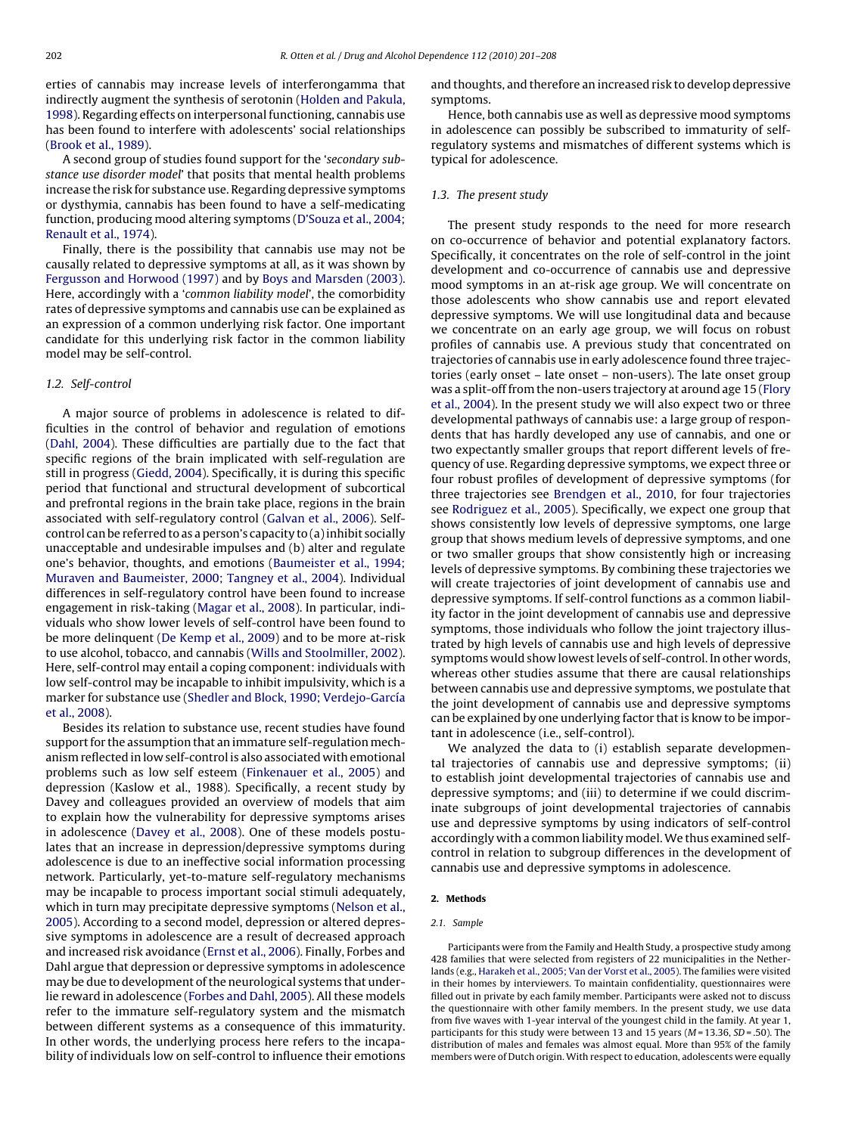erties of cannabis may increase levels of interferongamma that indirectly augment the synthesis of serotonin [\(Holden and Pakula,](#page-6-0) [1998\).](#page-6-0) Regarding effects on interpersonal functioning, cannabis use has been found to interfere with adolescents' social relationships ([Brook et al., 1989\).](#page-6-0)

A second group of studies found support for the 'secondary substance use disorder model' that posits that mental health problems increase the risk for substance use. Regarding depressive symptoms or dysthymia, cannabis has been found to have a self-medicating function, producing mood altering symptoms ([D'Souza et al., 2004;](#page-6-0) [Renault et al., 1974\).](#page-6-0)

Finally, there is the possibility that cannabis use may not be causally related to depressive symptoms at all, as it was shown by [Fergusson and Horwood \(1997\)](#page-6-0) and by [Boys and Marsden \(2003\).](#page-6-0) Here, accordingly with a 'common liability model', the comorbidity rates of depressive symptoms and cannabis use can be explained as an expression of a common underlying risk factor. One important candidate for this underlying risk factor in the common liability model may be self-control.

### 1.2. Self-control

A major source of problems in adolescence is related to difficulties in the control of behavior and regulation of emotions ([Dahl, 2004\).](#page-6-0) These difficulties are partially due to the fact that specific regions of the brain implicated with self-regulation are still in progress ([Giedd, 2004\).](#page-6-0) Specifically, it is during this specific period that functional and structural development of subcortical and prefrontal regions in the brain take place, regions in the brain associated with self-regulatory control ([Galvan et al., 2006\).](#page-6-0) Selfcontrol can be referred to as a person's capacity to (a) inhibit socially unacceptable and undesirable impulses and (b) alter and regulate one's behavior, thoughts, and emotions [\(Baumeister et al., 1994;](#page-6-0) [Muraven and Baumeister, 2000; Tangney et al., 2004\).](#page-6-0) Individual differences in self-regulatory control have been found to increase engagement in risk-taking [\(Magar et al., 2008\).](#page-6-0) In particular, individuals who show lower levels of self-control have been found to be more delinquent ([De Kemp et al., 2009\)](#page-6-0) and to be more at-risk to use alcohol, tobacco, and cannabis ([Wills and Stoolmiller, 2002\).](#page-7-0) Here, self-control may entail a coping component: individuals with low self-control may be incapable to inhibit impulsivity, which is a marker for substance use [\(Shedler and Block, 1990; Verdejo-García](#page-7-0) [et al., 2008\).](#page-7-0)

Besides its relation to substance use, recent studies have found support for the assumption that an immature self-regulation mechanism reflected in low self-control is also associated with emotional problems such as low self esteem [\(Finkenauer et al., 2005\)](#page-6-0) and depression (Kaslow et al., 1988). Specifically, a recent study by Davey and colleagues provided an overview of models that aim to explain how the vulnerability for depressive symptoms arises in adolescence [\(Davey et al., 2008\).](#page-6-0) One of these models postulates that an increase in depression/depressive symptoms during adolescence is due to an ineffective social information processing network. Particularly, yet-to-mature self-regulatory mechanisms may be incapable to process important social stimuli adequately, which in turn may precipitate depressive symptoms [\(Nelson et al.,](#page-6-0) [2005\).](#page-6-0) According to a second model, depression or altered depressive symptoms in adolescence are a result of decreased approach and increased risk avoidance ([Ernst et al., 2006\).](#page-6-0) Finally, Forbes and Dahl argue that depression or depressive symptoms in adolescence may be due to development of the neurological systems that underlie reward in adolescence ([Forbes and Dahl, 2005\).](#page-6-0) All these models refer to the immature self-regulatory system and the mismatch between different systems as a consequence of this immaturity. In other words, the underlying process here refers to the incapability of individuals low on self-control to influence their emotions

and thoughts, and therefore an increased risk to develop depressive symptoms.

Hence, both cannabis use as well as depressive mood symptoms in adolescence can possibly be subscribed to immaturity of selfregulatory systems and mismatches of different systems which is typical for adolescence.

#### 1.3. The present study

The present study responds to the need for more research on co-occurrence of behavior and potential explanatory factors. Specifically, it concentrates on the role of self-control in the joint development and co-occurrence of cannabis use and depressive mood symptoms in an at-risk age group. We will concentrate on those adolescents who show cannabis use and report elevated depressive symptoms. We will use longitudinal data and because we concentrate on an early age group, we will focus on robust profiles of cannabis use. A previous study that concentrated on trajectories of cannabis use in early adolescence found three trajectories (early onset – late onset – non-users). The late onset group was a split-off from the non-users trajectory at around age 15 ([Flory](#page-6-0) [et al., 2004\).](#page-6-0) In the present study we will also expect two or three developmental pathways of cannabis use: a large group of respondents that has hardly developed any use of cannabis, and one or two expectantly smaller groups that report different levels of frequency of use. Regarding depressive symptoms, we expect three or four robust profiles of development of depressive symptoms (for three trajectories see [Brendgen et al., 2010,](#page-6-0) for four trajectories see [Rodriguez et al., 2005\).](#page-7-0) Specifically, we expect one group that shows consistently low levels of depressive symptoms, one large group that shows medium levels of depressive symptoms, and one or two smaller groups that show consistently high or increasing levels of depressive symptoms. By combining these trajectories we will create trajectories of joint development of cannabis use and depressive symptoms. If self-control functions as a common liability factor in the joint development of cannabis use and depressive symptoms, those individuals who follow the joint trajectory illustrated by high levels of cannabis use and high levels of depressive symptoms would show lowest levels of self-control. In other words, whereas other studies assume that there are causal relationships between cannabis use and depressive symptoms, we postulate that the joint development of cannabis use and depressive symptoms can be explained by one underlying factor that is know to be important in adolescence (i.e., self-control).

We analyzed the data to (i) establish separate developmental trajectories of cannabis use and depressive symptoms; (ii) to establish joint developmental trajectories of cannabis use and depressive symptoms; and (iii) to determine if we could discriminate subgroups of joint developmental trajectories of cannabis use and depressive symptoms by using indicators of self-control accordingly with a common liability model.We thus examined selfcontrol in relation to subgroup differences in the development of cannabis use and depressive symptoms in adolescence.

#### **2. Methods**

#### 2.1. Sample

Participants were from the Family and Health Study, a prospective study among 428 families that were selected from registers of 22 municipalities in the Netherlands (e.g., [Harakeh et al., 2005; Van der Vorst et al., 2005\).](#page-6-0) The families were visited in their homes by interviewers. To maintain confidentiality, questionnaires were filled out in private by each family member. Participants were asked not to discuss the questionnaire with other family members. In the present study, we use data from five waves with 1-year interval of the youngest child in the family. At year 1, participants for this study were between 13 and 15 years ( $M = 13.36$ ,  $SD = .50$ ). The distribution of males and females was almost equal. More than 95% of the family members were of Dutch origin. With respect to education, adolescents were equally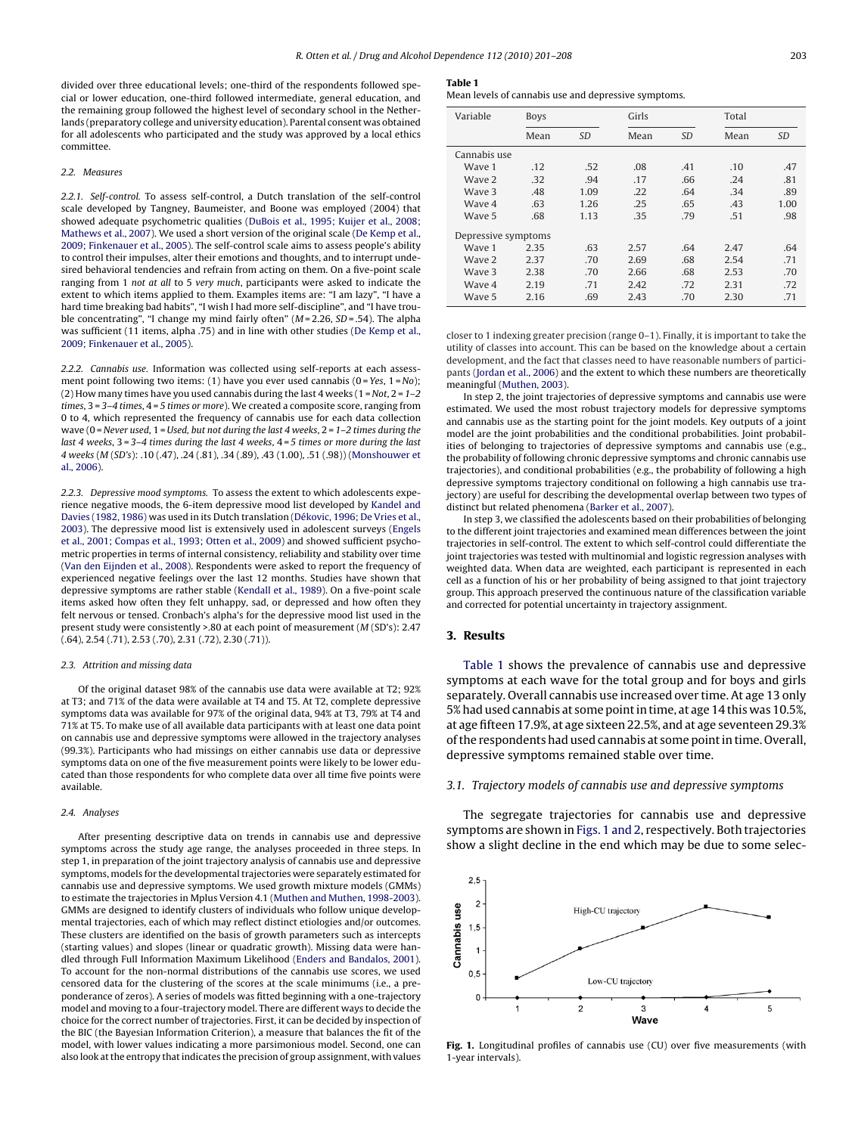<span id="page-2-0"></span>divided over three educational levels; one-third of the respondents followed special or lower education, one-third followed intermediate, general education, and the remaining group followed the highest level of secondary school in the Netherlands (preparatory college and university education). Parental consent was obtained for all adolescents who participated and the study was approved by a local ethics committee.

#### 2.2. Measures

2.2.1. Self-control. To assess self-control, a Dutch translation of the self-control scale developed by Tangney, Baumeister, and Boone was employed (2004) that showed adequate psychometric qualities [\(DuBois et al., 1995; Kuijer et al., 2008;](#page-6-0) [Mathews et al., 2007\).](#page-6-0) We used a short version of the original scale ([De Kemp et al.,](#page-6-0) [2009; Finkenauer et al., 2005\).](#page-6-0) The self-control scale aims to assess people's ability to control their impulses, alter their emotions and thoughts, and to interrupt undesired behavioral tendencies and refrain from acting on them. On a five-point scale ranging from 1 not at all to 5 very much, participants were asked to indicate the extent to which items applied to them. Examples items are: "I am lazy", "I have a hard time breaking bad habits", "I wish I had more self-discipline", and "I have trouble concentrating", "I change my mind fairly often"  $(M=2.26, SD=.54)$ . The alpha was sufficient (11 items, alpha .75) and in line with other studies ([De Kemp et al.,](#page-6-0) [2009; Finkenauer et al., 2005\).](#page-6-0)

2.2.2. Cannabis use. Information was collected using self-reports at each assessment point following two items: (1) have you ever used cannabis  $(0 = Yes, 1 = No)$ ; (2) How many times have you used cannabis during the last 4 weeks  $(1 = Not. 2 = 1-2)$ times, 3 = 3-4 times, 4 = 5 times or more). We created a composite score, ranging from 0 to 4, which represented the frequency of cannabis use for each data collection wave (0 = Never used, 1 = Used, but not during the last 4 weeks,  $2 = 1-2$  times during the last 4 weeks,  $3 = 3-4$  times during the last 4 weeks,  $4 = 5$  times or more during the last 4 weeks (M (SD's): .10 (.47), .24 (.81), .34 (.89), .43 (1.00), .51 (.98)) [\(Monshouwer et](#page-6-0) [al., 2006\).](#page-6-0)

2.2.3. Depressive mood symptoms. To assess the extent to which adolescents experience negative moods, the 6-item depressive mood list developed by [Kandel and](#page-6-0) [Davies \(1982, 1986\)](#page-6-0) was used in its Dutch translation ([Dékovic, 1996; De Vries et al.,](#page-6-0) [2003\).](#page-6-0) The depressive mood list is extensively used in adolescent surveys [\(Engels](#page-6-0) [et al., 2001; Compas et al., 1993; Otten et al., 2009\) a](#page-6-0)nd showed sufficient psychometric properties in terms of internal consistency, reliability and stability over time [\(Van den Eijnden et al., 2008\).](#page-7-0) Respondents were asked to report the frequency of experienced negative feelings over the last 12 months. Studies have shown that depressive symptoms are rather stable [\(Kendall et al., 1989\).](#page-6-0) On a five-point scale items asked how often they felt unhappy, sad, or depressed and how often they felt nervous or tensed. Cronbach's alpha's for the depressive mood list used in the present study were consistently >.80 at each point of measurement (M (SD's): 2.47 (.64), 2.54 (.71), 2.53 (.70), 2.31 (.72), 2.30 (.71)).

#### 2.3. Attrition and missing data

Of the original dataset 98% of the cannabis use data were available at T2; 92% at T3; and 71% of the data were available at T4 and T5. At T2, complete depressive symptoms data was available for 97% of the original data, 94% at T3, 79% at T4 and 71% at T5. To make use of all available data participants with at least one data point on cannabis use and depressive symptoms were allowed in the trajectory analyses (99.3%). Participants who had missings on either cannabis use data or depressive symptoms data on one of the five measurement points were likely to be lower educated than those respondents for who complete data over all time five points were available.

#### 2.4. Analyses

After presenting descriptive data on trends in cannabis use and depressive symptoms across the study age range, the analyses proceeded in three steps. In step 1, in preparation of the joint trajectory analysis of cannabis use and depressive symptoms, models for the developmental trajectories were separately estimated for cannabis use and depressive symptoms. We used growth mixture models (GMMs) to estimate the trajectories in Mplus Version 4.1 [\(Muthen and Muthen, 1998-2003\).](#page-6-0) GMMs are designed to identify clusters of individuals who follow unique developmental trajectories, each of which may reflect distinct etiologies and/or outcomes. These clusters are identified on the basis of growth parameters such as intercepts (starting values) and slopes (linear or quadratic growth). Missing data were handled through Full Information Maximum Likelihood [\(Enders and Bandalos, 2001\).](#page-6-0) To account for the non-normal distributions of the cannabis use scores, we used censored data for the clustering of the scores at the scale minimums (i.e., a preponderance of zeros). A series of models was fitted beginning with a one-trajectory model and moving to a four-trajectory model. There are different ways to decide the choice for the correct number of trajectories. First, it can be decided by inspection of the BIC (the Bayesian Information Criterion), a measure that balances the fit of the model, with lower values indicating a more parsimonious model. Second, one can also look at the entropy that indicates the precision of group assignment, with values

### **Table 1**

Mean levels of cannabis use and depressive symptoms.

| Variable            | <b>Boys</b> |           | Girls |           | Total |      |  |  |
|---------------------|-------------|-----------|-------|-----------|-------|------|--|--|
|                     | Mean        | <b>SD</b> | Mean  | <b>SD</b> | Mean  | SD   |  |  |
| Cannabis use        |             |           |       |           |       |      |  |  |
| Wave 1              | .12         | .52       | .08   | .41       | .10   | .47  |  |  |
| Wave 2              | .32         | .94       | .17   | .66       | .24   | .81  |  |  |
| Wave 3              | .48         | 1.09      | .22   | .64       | .34   | .89  |  |  |
| Wave 4              | .63         | 1.26      | .25   | .65       | .43   | 1.00 |  |  |
| Wave 5              | .68         | 1.13      | .35   | .79       | .51   | .98  |  |  |
| Depressive symptoms |             |           |       |           |       |      |  |  |
| Wave 1              | 2.35        | .63       | 2.57  | .64       | 2.47  | .64  |  |  |
| Wave 2              | 2.37        | .70       | 2.69  | .68       | 2.54  | .71  |  |  |
| Wave 3              | 2.38        | .70       | 2.66  | .68       | 2.53  | .70  |  |  |
| Wave 4              | 2.19        | .71       | 2.42  | .72       | 2.31  | .72  |  |  |
| Wave 5              | 2.16        | .69       | 2.43  | .70       | 2.30  | .71  |  |  |

closer to 1 indexing greater precision (range 0–1). Finally, it is important to take the utility of classes into account. This can be based on the knowledge about a certain development, and the fact that classes need to have reasonable numbers of participants [\(Jordan et al., 2006\) a](#page-6-0)nd the extent to which these numbers are theoretically meaningful [\(Muthen, 2003\).](#page-6-0)

In step 2, the joint trajectories of depressive symptoms and cannabis use were estimated. We used the most robust trajectory models for depressive symptoms and cannabis use as the starting point for the joint models. Key outputs of a joint model are the joint probabilities and the conditional probabilities. Joint probabilities of belonging to trajectories of depressive symptoms and cannabis use (e.g., the probability of following chronic depressive symptoms and chronic cannabis use trajectories), and conditional probabilities (e.g., the probability of following a high depressive symptoms trajectory conditional on following a high cannabis use trajectory) are useful for describing the developmental overlap between two types of distinct but related phenomena [\(Barker et al., 2007\).](#page-6-0)

In step 3, we classified the adolescents based on their probabilities of belonging to the different joint trajectories and examined mean differences between the joint trajectories in self-control. The extent to which self-control could differentiate the joint trajectories was tested with multinomial and logistic regression analyses with weighted data. When data are weighted, each participant is represented in each cell as a function of his or her probability of being assigned to that joint trajectory group. This approach preserved the continuous nature of the classification variable and corrected for potential uncertainty in trajectory assignment.

#### **3. Results**

Table 1 shows the prevalence of cannabis use and depressive symptoms at each wave for the total group and for boys and girls separately. Overall cannabis use increased over time. At age 13 only 5% had used cannabis at some point in time, at age 14 this was 10.5%, at age fifteen 17.9%, at age sixteen 22.5%, and at age seventeen 29.3% of the respondents had used cannabis at some point in time. Overall, depressive symptoms remained stable over time.

#### 3.1. Trajectory models of cannabis use and depressive symptoms

The segregate trajectories for cannabis use and depressive symptoms are shown in Figs. 1 and 2, respectively. Both trajectories show a slight decline in the end which may be due to some selec-



**Fig. 1.** Longitudinal profiles of cannabis use (CU) over five measurements (with 1-year intervals).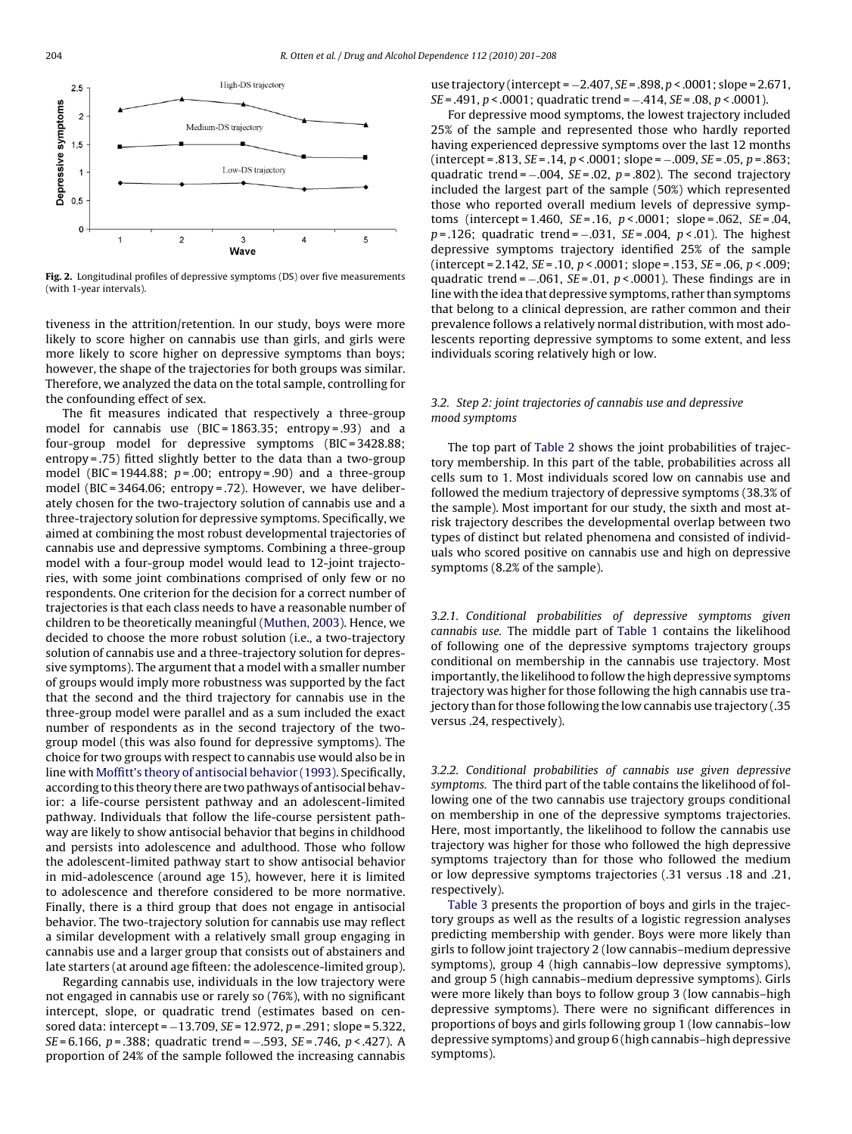

**Fig. 2.** Longitudinal profiles of depressive symptoms (DS) over five measurements (with 1-year intervals).

tiveness in the attrition/retention. In our study, boys were more likely to score higher on cannabis use than girls, and girls were more likely to score higher on depressive symptoms than boys; however, the shape of the trajectories for both groups was similar. Therefore, we analyzed the data on the total sample, controlling for the confounding effect of sex.

The fit measures indicated that respectively a three-group model for cannabis use (BIC = 1863.35; entropy = .93) and a four-group model for depressive symptoms (BIC = 3428.88; entropy = .75) fitted slightly better to the data than a two-group model (BIC = 1944.88;  $p = .00$ ; entropy = .90) and a three-group model (BIC = 3464.06; entropy = .72). However, we have deliberately chosen for the two-trajectory solution of cannabis use and a three-trajectory solution for depressive symptoms. Specifically, we aimed at combining the most robust developmental trajectories of cannabis use and depressive symptoms. Combining a three-group model with a four-group model would lead to 12-joint trajectories, with some joint combinations comprised of only few or no respondents. One criterion for the decision for a correct number of trajectories is that each class needs to have a reasonable number of children to be theoretically meaningful [\(Muthen, 2003\).](#page-6-0) Hence, we decided to choose the more robust solution (i.e., a two-trajectory solution of cannabis use and a three-trajectory solution for depressive symptoms). The argument that a model with a smaller number of groups would imply more robustness was supported by the fact that the second and the third trajectory for cannabis use in the three-group model were parallel and as a sum included the exact number of respondents as in the second trajectory of the twogroup model (this was also found for depressive symptoms). The choice for two groups with respect to cannabis use would also be in line with [Moffitt's theory of antisocial behavior \(1993\). S](#page-6-0)pecifically, according to this theory there are two pathways of antisocial behavior: a life-course persistent pathway and an adolescent-limited pathway. Individuals that follow the life-course persistent pathway are likely to show antisocial behavior that begins in childhood and persists into adolescence and adulthood. Those who follow the adolescent-limited pathway start to show antisocial behavior in mid-adolescence (around age 15), however, here it is limited to adolescence and therefore considered to be more normative. Finally, there is a third group that does not engage in antisocial behavior. The two-trajectory solution for cannabis use may reflect a similar development with a relatively small group engaging in cannabis use and a larger group that consists out of abstainers and late starters (at around age fifteen: the adolescence-limited group).

Regarding cannabis use, individuals in the low trajectory were not engaged in cannabis use or rarely so (76%), with no significant intercept, slope, or quadratic trend (estimates based on censored data: intercept = −13.709, SE = 12.972, p = .291; slope = 5.322, SE = 6.166, p = .388; quadratic trend = -.593, SE = .746, p < .427). A proportion of 24% of the sample followed the increasing cannabis

use trajectory (intercept = −2.407, SE = .898, p < .0001; slope = 2.671, SE = .491, *p* < .0001; quadratic trend = −.414, SE = .08, *p* < .0001).

For depressive mood symptoms, the lowest trajectory included 25% of the sample and represented those who hardly reported having experienced depressive symptoms over the last 12 months (intercept = .813,  $SE = .14$ ,  $p < .0001$ ; slope = -.009,  $SE = .05$ ,  $p = .863$ ; quadratic trend =  $-.004$ , SE = .02, p = .802). The second trajectory included the largest part of the sample (50%) which represented those who reported overall medium levels of depressive symptoms (intercept = 1.460,  $SE = .16$ ,  $p < .0001$ ; slope = .062,  $SE = .04$ ,  $p = .126$ ; quadratic trend =  $-.031$ ,  $SE = .004$ ,  $p < .01$ ). The highest depressive symptoms trajectory identified 25% of the sample  $intercept = 2.142, SE = .10, p < .0001; slope = .153, SE = .06, p < .009;$ quadratic trend =  $-.061$ , SE = .01, p < .0001). These findings are in line with the idea that depressive symptoms, rather than symptoms that belong to a clinical depression, are rather common and their prevalence follows a relatively normal distribution, with most adolescents reporting depressive symptoms to some extent, and less individuals scoring relatively high or low.

# 3.2. Step 2: joint trajectories of cannabis use and depressive mood symptoms

The top part of [Table 2](#page-4-0) shows the joint probabilities of trajectory membership. In this part of the table, probabilities across all cells sum to 1. Most individuals scored low on cannabis use and followed the medium trajectory of depressive symptoms (38.3% of the sample). Most important for our study, the sixth and most atrisk trajectory describes the developmental overlap between two types of distinct but related phenomena and consisted of individuals who scored positive on cannabis use and high on depressive symptoms (8.2% of the sample).

3.2.1. Conditional probabilities of depressive symptoms given cannabis use. The middle part of [Table 1](#page-2-0) contains the likelihood of following one of the depressive symptoms trajectory groups conditional on membership in the cannabis use trajectory. Most importantly, the likelihood to follow the high depressive symptoms trajectory was higher for those following the high cannabis use trajectory than for those following the low cannabis use trajectory (.35 versus .24, respectively).

3.2.2. Conditional probabilities of cannabis use given depressive symptoms. The third part of the table contains the likelihood of following one of the two cannabis use trajectory groups conditional on membership in one of the depressive symptoms trajectories. Here, most importantly, the likelihood to follow the cannabis use trajectory was higher for those who followed the high depressive symptoms trajectory than for those who followed the medium or low depressive symptoms trajectories (.31 versus .18 and .21, respectively).

[Table 3](#page-4-0) presents the proportion of boys and girls in the trajectory groups as well as the results of a logistic regression analyses predicting membership with gender. Boys were more likely than girls to follow joint trajectory 2 (low cannabis–medium depressive symptoms), group 4 (high cannabis–low depressive symptoms), and group 5 (high cannabis–medium depressive symptoms). Girls were more likely than boys to follow group 3 (low cannabis–high depressive symptoms). There were no significant differences in proportions of boys and girls following group 1 (low cannabis–low depressive symptoms) and group 6 (high cannabis–high depressive symptoms).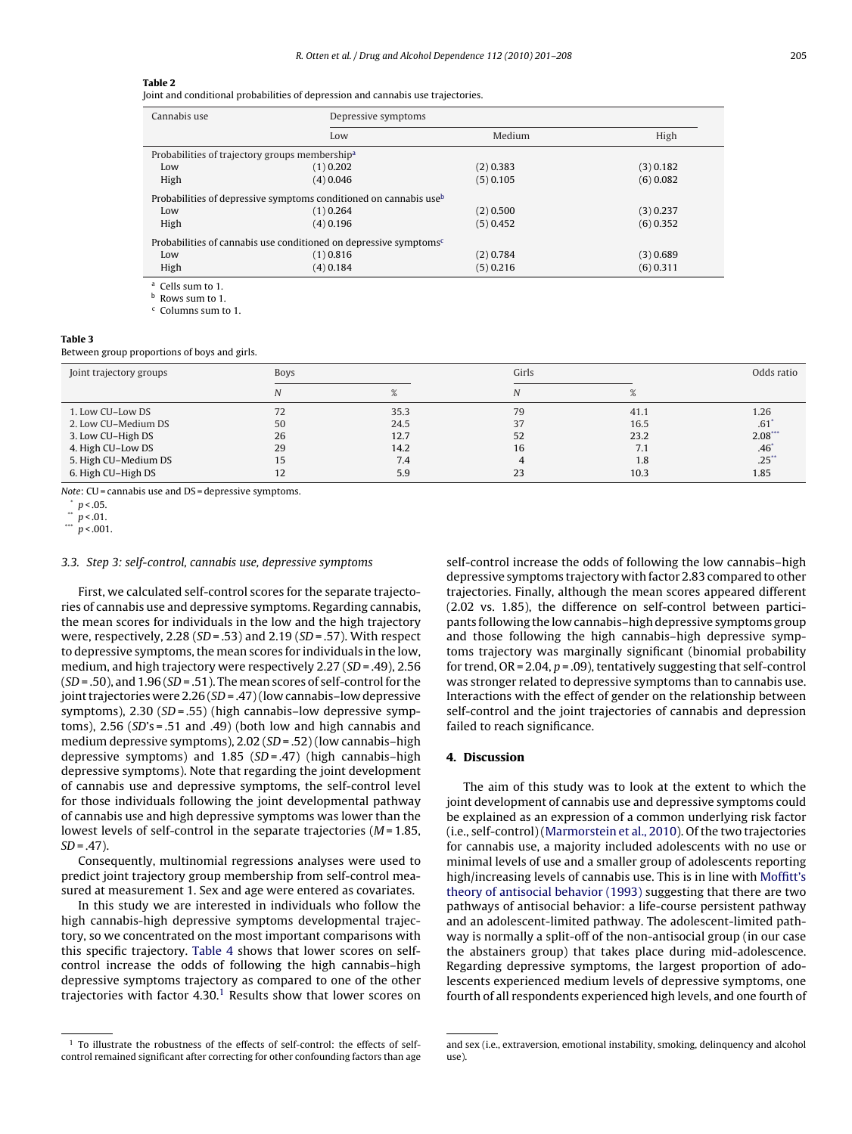#### <span id="page-4-0"></span>**Table 2**

Joint and conditional probabilities of depression and cannabis use trajectories.

| Cannabis use                                                                  | Depressive symptoms |             |             |  |  |  |  |
|-------------------------------------------------------------------------------|---------------------|-------------|-------------|--|--|--|--|
|                                                                               | Low                 | Medium      | High        |  |  |  |  |
| Probabilities of trajectory groups membership <sup>a</sup>                    |                     |             |             |  |  |  |  |
| Low                                                                           | (1) 0.202           | $(2)$ 0.383 | (3) 0.182   |  |  |  |  |
| High                                                                          | $(4)$ 0.046         | $(5)$ 0.105 | (6) 0.082   |  |  |  |  |
| Probabilities of depressive symptoms conditioned on cannabis use <sup>b</sup> |                     |             |             |  |  |  |  |
| Low                                                                           | $(1)$ 0.264         | $(2)$ 0.500 | (3) 0.237   |  |  |  |  |
| High                                                                          | $(4)$ 0.196         | (5)0.452    | $(6)$ 0.352 |  |  |  |  |
| Probabilities of cannabis use conditioned on depressive symptoms <sup>c</sup> |                     |             |             |  |  |  |  |
| Low                                                                           | $(1)$ 0.816         | (2) 0.784   | (3)0.689    |  |  |  |  |
| High                                                                          | (4) 0.184           | $(5)$ 0.216 | $(6)$ 0.311 |  |  |  |  |
| <sup>a</sup> Cells sum to 1.                                                  |                     |             |             |  |  |  |  |

<sup>b</sup> Rows sum to 1.

<sup>c</sup> Columns sum to 1.

#### **Table 3**

Between group proportions of boys and girls.

| Joint trajectory groups | <b>Boys</b> |      | Girls |      | Odds ratio |
|-------------------------|-------------|------|-------|------|------------|
|                         |             |      |       |      |            |
| 1. Low CU-Low DS        | 72          | 35.3 | 79    | 41.1 | 1.26       |
| 2. Low CU-Medium DS     | 50          | 24.5 | 37    | 16.5 | .61        |
| 3. Low CU-High DS       | 26          | 12.7 | 52    | 23.2 | $2.08***$  |
| 4. High CU-Low DS       | 29          | 14.2 | 16    | 7.1  | .46        |
| 5. High CU-Medium DS    |             | 7.4  |       | 1.8  | $.25^*$    |
| 6. High CU-High DS      | 12          | 5.9  | 23    | 10.3 | 1.85       |

Note: CU = cannabis use and DS = depressive symptoms.

 $p < .01$ .

 $p < .001$ .

#### 3.3. Step 3: self-control, cannabis use, depressive symptoms

First, we calculated self-control scores for the separate trajectories of cannabis use and depressive symptoms. Regarding cannabis, the mean scores for individuals in the low and the high trajectory were, respectively, 2.28 ( $SD = .53$ ) and 2.19 ( $SD = .57$ ). With respect to depressive symptoms, the mean scores for individuals in the low, medium, and high trajectory were respectively 2.27 (SD = .49), 2.56  $(SD = .50)$ , and  $1.96(SD = .51)$ . The mean scores of self-control for the joint trajectories were 2.26 (SD = .47) (low cannabis-low depressive symptoms),  $2.30$  (SD = .55) (high cannabis–low depressive symptoms),  $2.56$  (SD's = .51 and .49) (both low and high cannabis and medium depressive symptoms), 2.02 (SD = .52) (low cannabis–high depressive symptoms) and  $1.85$  (SD = .47) (high cannabis–high depressive symptoms). Note that regarding the joint development of cannabis use and depressive symptoms, the self-control level for those individuals following the joint developmental pathway of cannabis use and high depressive symptoms was lower than the lowest levels of self-control in the separate trajectories  $(M = 1.85,$  $SD = .47$ ).

Consequently, multinomial regressions analyses were used to predict joint trajectory group membership from self-control measured at measurement 1. Sex and age were entered as covariates.

In this study we are interested in individuals who follow the high cannabis-high depressive symptoms developmental trajectory, so we concentrated on the most important comparisons with this specific trajectory. [Table 4](#page-5-0) shows that lower scores on selfcontrol increase the odds of following the high cannabis–high depressive symptoms trajectory as compared to one of the other trajectories with factor 4.30.<sup>1</sup> Results show that lower scores on

<sup>1</sup> To illustrate the robustness of the effects of self-control: the effects of selfcontrol remained significant after correcting for other confounding factors than age

self-control increase the odds of following the low cannabis–high depressive symptoms trajectory with factor 2.83 compared to other trajectories. Finally, although the mean scores appeared different (2.02 vs. 1.85), the difference on self-control between participants following the low cannabis–high depressive symptoms group and those following the high cannabis–high depressive symptoms trajectory was marginally significant (binomial probability for trend,  $OR = 2.04$ ,  $p = .09$ ), tentatively suggesting that self-control was stronger related to depressive symptoms than to cannabis use. Interactions with the effect of gender on the relationship between self-control and the joint trajectories of cannabis and depression failed to reach significance.

#### **4. Discussion**

The aim of this study was to look at the extent to which the joint development of cannabis use and depressive symptoms could be explained as an expression of a common underlying risk factor (i.e., self-control) [\(Marmorstein et al., 2010\).](#page-6-0) Of the two trajectories for cannabis use, a majority included adolescents with no use or minimal levels of use and a smaller group of adolescents reporting high/increasing levels of cannabis use. This is in line with [Moffitt's](#page-6-0) [theory of antisocial behavior \(1993\)](#page-6-0) suggesting that there are two pathways of antisocial behavior: a life-course persistent pathway and an adolescent-limited pathway. The adolescent-limited pathway is normally a split-off of the non-antisocial group (in our case the abstainers group) that takes place during mid-adolescence. Regarding depressive symptoms, the largest proportion of adolescents experienced medium levels of depressive symptoms, one fourth of all respondents experienced high levels, and one fourth of

 $p < .05$ .

and sex (i.e., extraversion, emotional instability, smoking, delinquency and alcohol use).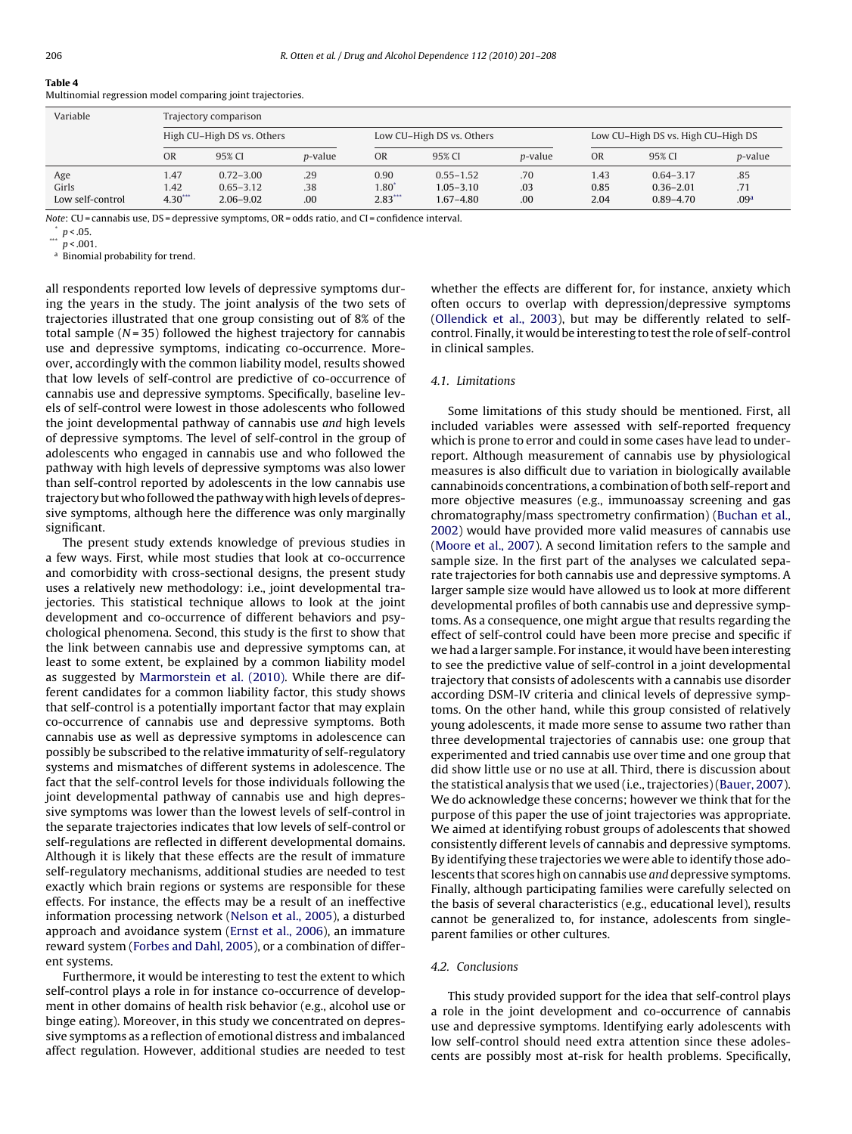| Variable                         |                            | Trajectory comparison                           |                           |                                       |                                                 |                                    |                      |                                                 |                                |
|----------------------------------|----------------------------|-------------------------------------------------|---------------------------|---------------------------------------|-------------------------------------------------|------------------------------------|----------------------|-------------------------------------------------|--------------------------------|
|                                  | High CU-High DS vs. Others |                                                 | Low CU-High DS vs. Others |                                       |                                                 | Low CU-High DS vs. High CU-High DS |                      |                                                 |                                |
|                                  | <b>OR</b>                  | 95% CI                                          | <i>p</i> -value           | <b>OR</b>                             | 95% CI                                          | <i>p</i> -value                    | <b>OR</b>            | 95% CI                                          | <i>p</i> -value                |
| Age<br>Girls<br>Low self-control | 1.47<br>1.42<br>$4.30***$  | $0.72 - 3.00$<br>$0.65 - 3.12$<br>$2.06 - 9.02$ | .29<br>.38<br>.00         | 0.90<br>$1.80^{\degree}$<br>$2.83***$ | $0.55 - 1.52$<br>$1.05 - 3.10$<br>$1.67 - 4.80$ | .70<br>.03<br>.00                  | 1.43<br>0.85<br>2.04 | $0.64 - 3.17$<br>$0.36 - 2.01$<br>$0.89 - 4.70$ | .85<br>.71<br>.09 <sup>3</sup> |

<span id="page-5-0"></span>Multinomial regression model comparing joint trajectories.

Note: CU = cannabis use, DS = depressive symptoms, OR = odds ratio, and CI = confidence interval.

 $*$   $p < .05$ .

 $p < 0.01$ 

<sup>a</sup> Binomial probability for trend.

all respondents reported low levels of depressive symptoms during the years in the study. The joint analysis of the two sets of trajectories illustrated that one group consisting out of 8% of the total sample  $(N=35)$  followed the highest trajectory for cannabis use and depressive symptoms, indicating co-occurrence. Moreover, accordingly with the common liability model, results showed that low levels of self-control are predictive of co-occurrence of cannabis use and depressive symptoms. Specifically, baseline levels of self-control were lowest in those adolescents who followed the joint developmental pathway of cannabis use and high levels of depressive symptoms. The level of self-control in the group of adolescents who engaged in cannabis use and who followed the pathway with high levels of depressive symptoms was also lower than self-control reported by adolescents in the low cannabis use trajectory but who followed the pathway with high levels of depressive symptoms, although here the difference was only marginally significant.

The present study extends knowledge of previous studies in a few ways. First, while most studies that look at co-occurrence and comorbidity with cross-sectional designs, the present study uses a relatively new methodology: i.e., joint developmental trajectories. This statistical technique allows to look at the joint development and co-occurrence of different behaviors and psychological phenomena. Second, this study is the first to show that the link between cannabis use and depressive symptoms can, at least to some extent, be explained by a common liability model as suggested by [Marmorstein et al. \(2010\).](#page-6-0) While there are different candidates for a common liability factor, this study shows that self-control is a potentially important factor that may explain co-occurrence of cannabis use and depressive symptoms. Both cannabis use as well as depressive symptoms in adolescence can possibly be subscribed to the relative immaturity of self-regulatory systems and mismatches of different systems in adolescence. The fact that the self-control levels for those individuals following the joint developmental pathway of cannabis use and high depressive symptoms was lower than the lowest levels of self-control in the separate trajectories indicates that low levels of self-control or self-regulations are reflected in different developmental domains. Although it is likely that these effects are the result of immature self-regulatory mechanisms, additional studies are needed to test exactly which brain regions or systems are responsible for these effects. For instance, the effects may be a result of an ineffective information processing network [\(Nelson et al., 2005\),](#page-6-0) a disturbed approach and avoidance system ([Ernst et al., 2006\),](#page-6-0) an immature reward system [\(Forbes and Dahl, 2005\),](#page-6-0) or a combination of different systems.

Furthermore, it would be interesting to test the extent to which self-control plays a role in for instance co-occurrence of development in other domains of health risk behavior (e.g., alcohol use or binge eating). Moreover, in this study we concentrated on depressive symptoms as a reflection of emotional distress and imbalanced affect regulation. However, additional studies are needed to test

whether the effects are different for, for instance, anxiety which often occurs to overlap with depression/depressive symptoms [\(Ollendick et al., 2003\),](#page-7-0) but may be differently related to selfcontrol. Finally, it would be interesting to test the role of self-control in clinical samples.

#### 4.1. Limitations

Some limitations of this study should be mentioned. First, all included variables were assessed with self-reported frequency which is prone to error and could in some cases have lead to underreport. Although measurement of cannabis use by physiological measures is also difficult due to variation in biologically available cannabinoids concentrations, a combination of both self-report and more objective measures (e.g., immunoassay screening and gas chromatography/mass spectrometry confirmation) ([Buchan et al.,](#page-6-0) [2002\)](#page-6-0) would have provided more valid measures of cannabis use [\(Moore et al., 2007\).](#page-6-0) A second limitation refers to the sample and sample size. In the first part of the analyses we calculated separate trajectories for both cannabis use and depressive symptoms. A larger sample size would have allowed us to look at more different developmental profiles of both cannabis use and depressive symptoms. As a consequence, one might argue that results regarding the effect of self-control could have been more precise and specific if we had a larger sample. For instance, it would have been interesting to see the predictive value of self-control in a joint developmental trajectory that consists of adolescents with a cannabis use disorder according DSM-IV criteria and clinical levels of depressive symptoms. On the other hand, while this group consisted of relatively young adolescents, it made more sense to assume two rather than three developmental trajectories of cannabis use: one group that experimented and tried cannabis use over time and one group that did show little use or no use at all. Third, there is discussion about the statistical analysis that we used (i.e., trajectories) [\(Bauer, 2007\).](#page-6-0) We do acknowledge these concerns; however we think that for the purpose of this paper the use of joint trajectories was appropriate. We aimed at identifying robust groups of adolescents that showed consistently different levels of cannabis and depressive symptoms. By identifying these trajectories we were able to identify those adolescents that scores high on cannabis use and depressive symptoms. Finally, although participating families were carefully selected on the basis of several characteristics (e.g., educational level), results cannot be generalized to, for instance, adolescents from singleparent families or other cultures.

#### 4.2. Conclusions

This study provided support for the idea that self-control plays a role in the joint development and co-occurrence of cannabis use and depressive symptoms. Identifying early adolescents with low self-control should need extra attention since these adolescents are possibly most at-risk for health problems. Specifically,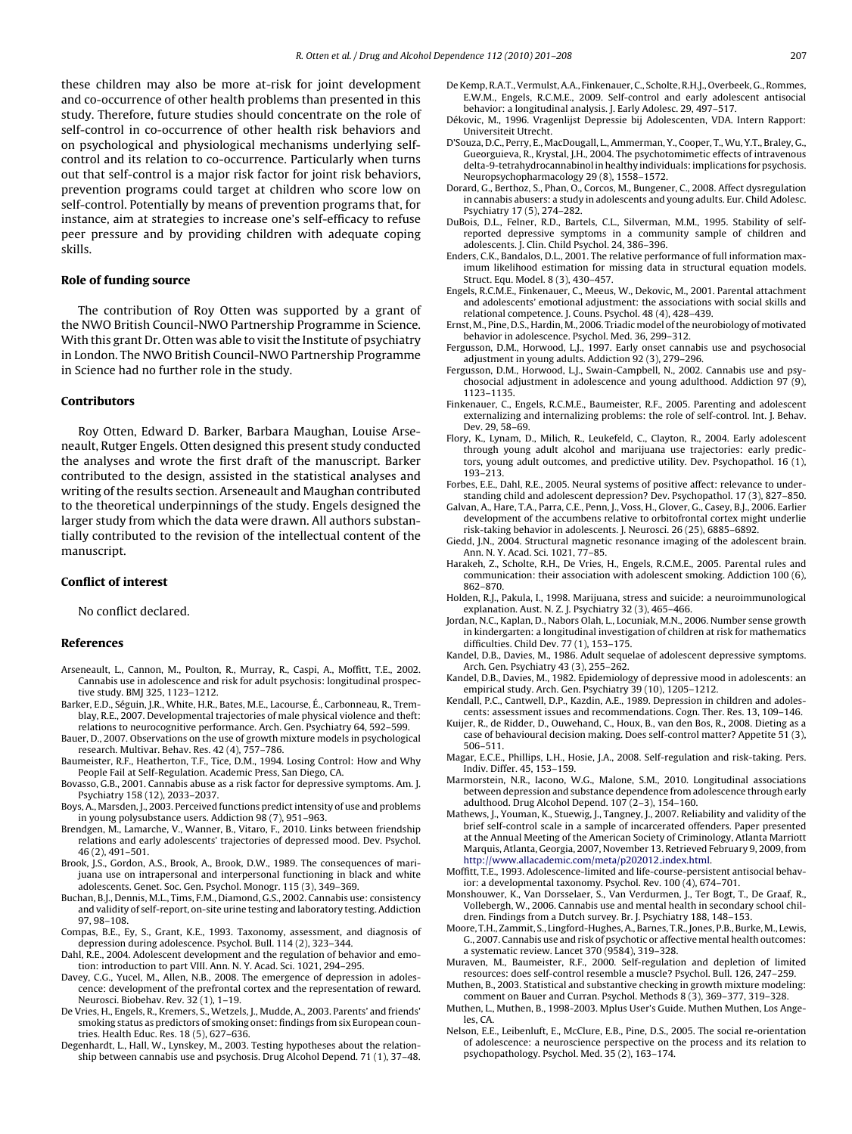<span id="page-6-0"></span>these children may also be more at-risk for joint development and co-occurrence of other health problems than presented in this study. Therefore, future studies should concentrate on the role of self-control in co-occurrence of other health risk behaviors and on psychological and physiological mechanisms underlying selfcontrol and its relation to co-occurrence. Particularly when turns out that self-control is a major risk factor for joint risk behaviors, prevention programs could target at children who score low on self-control. Potentially by means of prevention programs that, for instance, aim at strategies to increase one's self-efficacy to refuse peer pressure and by providing children with adequate coping skills.

# **Role of funding source**

The contribution of Roy Otten was supported by a grant of the NWO British Council-NWO Partnership Programme in Science. With this grant Dr. Otten was able to visit the Institute of psychiatry in London. The NWO British Council-NWO Partnership Programme in Science had no further role in the study.

#### **Contributors**

Roy Otten, Edward D. Barker, Barbara Maughan, Louise Arseneault, Rutger Engels. Otten designed this present study conducted the analyses and wrote the first draft of the manuscript. Barker contributed to the design, assisted in the statistical analyses and writing of the results section. Arseneault and Maughan contributed to the theoretical underpinnings of the study. Engels designed the larger study from which the data were drawn. All authors substantially contributed to the revision of the intellectual content of the manuscript.

#### **Conflict of interest**

No conflict declared.

#### **References**

- Arseneault, L., Cannon, M., Poulton, R., Murray, R., Caspi, A., Moffitt, T.E., 2002. Cannabis use in adolescence and risk for adult psychosis: longitudinal prospective study. BMJ 325, 1123–1212.
- Barker, E.D., Séguin, J.R., White, H.R., Bates, M.E., Lacourse, É., Carbonneau, R., Tremblay, R.E., 2007. Developmental trajectories of male physical violence and theft: relations to neurocognitive performance. Arch. Gen. Psychiatry 64, 592–599.
- Bauer, D., 2007. Observations on the use of growth mixture models in psychological research. Multivar. Behav. Res. 42 (4), 757–786.
- Baumeister, R.F., Heatherton, T.F., Tice, D.M., 1994. Losing Control: How and Why People Fail at Self-Regulation. Academic Press, San Diego, CA.
- Bovasso, G.B., 2001. Cannabis abuse as a risk factor for depressive symptoms. Am. J. Psychiatry 158 (12), 2033–2037.
- Boys, A., Marsden, J., 2003. Perceived functions predict intensity of use and problems in young polysubstance users. Addiction 98 (7), 951–963.
- Brendgen, M., Lamarche, V., Wanner, B., Vitaro, F., 2010. Links between friendship relations and early adolescents' trajectories of depressed mood. Dev. Psychol. 46 (2), 491–501.
- Brook, J.S., Gordon, A.S., Brook, A., Brook, D.W., 1989. The consequences of marijuana use on intrapersonal and interpersonal functioning in black and white adolescents. Genet. Soc. Gen. Psychol. Monogr. 115 (3), 349–369.
- Buchan, B.J., Dennis, M.L., Tims, F.M., Diamond, G.S., 2002. Cannabis use: consistency and validity of self-report, on-site urine testing and laboratory testing. Addiction 97, 98–108.
- Compas, B.E., Ey, S., Grant, K.E., 1993. Taxonomy, assessment, and diagnosis of depression during adolescence. Psychol. Bull. 114 (2), 323–344.
- Dahl, R.E., 2004. Adolescent development and the regulation of behavior and emotion: introduction to part VIII. Ann. N. Y. Acad. Sci. 1021, 294–295.
- Davey, C.G., Yucel, M., Allen, N.B., 2008. The emergence of depression in adolescence: development of the prefrontal cortex and the representation of reward. Neurosci. Biobehav. Rev. 32 (1), 1–19.
- De Vries, H., Engels, R., Kremers, S., Wetzels, J., Mudde, A., 2003. Parents' and friends' smoking status as predictors of smoking onset: findings from six European countries. Health Educ. Res. 18 (5), 627–636.
- Degenhardt, L., Hall, W., Lynskey, M., 2003. Testing hypotheses about the relationship between cannabis use and psychosis. Drug Alcohol Depend. 71 (1), 37–48.
- De Kemp, R.A.T., Vermulst, A.A., Finkenauer, C., Scholte, R.H.J., Overbeek, G., Rommes, E.W.M., Engels, R.C.M.E., 2009. Self-control and early adolescent antisocial behavior: a longitudinal analysis. J. Early Adolesc. 29, 497–517.
- Dékovic, M., 1996. Vragenlijst Depressie bij Adolescenten, VDA. Intern Rapport: Universiteit Utrecht.
- D'Souza, D.C., Perry, E., MacDougall, L., Ammerman, Y., Cooper, T.,Wu, Y.T., Braley, G., Gueorguieva, R., Krystal, J.H., 2004. The psychotomimetic effects of intravenous delta-9-tetrahydrocannabinol in healthy individuals: implications for psychosis. Neuropsychopharmacology 29 (8), 1558–1572.
- Dorard, G., Berthoz, S., Phan, O., Corcos, M., Bungener, C., 2008. Affect dysregulation in cannabis abusers: a study in adolescents and young adults. Eur. Child Adolesc. Psychiatry 17 (5), 274–282.
- DuBois, D.L., Felner, R.D., Bartels, C.L., Silverman, M.M., 1995. Stability of selfreported depressive symptoms in a community sample of children and adolescents. J. Clin. Child Psychol. 24, 386–396.
- Enders, C.K., Bandalos, D.L., 2001. The relative performance of full information maximum likelihood estimation for missing data in structural equation models. Struct. Equ. Model. 8 (3), 430–457.
- Engels, R.C.M.E., Finkenauer, C., Meeus, W., Dekovic, M., 2001. Parental attachment and adolescents' emotional adjustment: the associations with social skills and relational competence. J. Couns. Psychol. 48 (4), 428–439.
- Ernst, M., Pine, D.S., Hardin, M., 2006. Triadic model of the neurobiology of motivated behavior in adolescence. Psychol. Med. 36, 299–312.
- Fergusson, D.M., Horwood, L.J., 1997. Early onset cannabis use and psychosocial adjustment in young adults. Addiction 92 (3), 279–296.
- Fergusson, D.M., Horwood, L.J., Swain-Campbell, N., 2002. Cannabis use and psychosocial adjustment in adolescence and young adulthood. Addiction 97 (9), 1123–1135.
- Finkenauer, C., Engels, R.C.M.E., Baumeister, R.F., 2005. Parenting and adolescent externalizing and internalizing problems: the role of self-control. Int. J. Behav. Dev. 29, 58–69.
- Flory, K., Lynam, D., Milich, R., Leukefeld, C., Clayton, R., 2004. Early adolescent through young adult alcohol and marijuana use trajectories: early predictors, young adult outcomes, and predictive utility. Dev. Psychopathol. 16 (1), 193–213.
- Forbes, E.E., Dahl, R.E., 2005. Neural systems of positive affect: relevance to understanding child and adolescent depression? Dev. Psychopathol. 17 (3), 827–850.
- Galvan, A., Hare, T.A., Parra, C.E., Penn, J., Voss, H., Glover, G., Casey, B.J., 2006. Earlier development of the accumbens relative to orbitofrontal cortex might underlie risk-taking behavior in adolescents. J. Neurosci. 26 (25), 6885–6892.
- Giedd, J.N., 2004. Structural magnetic resonance imaging of the adolescent brain. Ann. N. Y. Acad. Sci. 1021, 77–85.
- Harakeh, Z., Scholte, R.H., De Vries, H., Engels, R.C.M.E., 2005. Parental rules and communication: their association with adolescent smoking. Addiction 100 (6), 862–870.
- Holden, R.J., Pakula, I., 1998. Marijuana, stress and suicide: a neuroimmunological explanation. Aust. N. Z. J. Psychiatry 32 (3), 465–466.
- Jordan, N.C., Kaplan, D., Nabors Olah, L., Locuniak, M.N., 2006. Number sense growth in kindergarten: a longitudinal investigation of children at risk for mathematics difficulties. Child Dev. 77 (1), 153–175.
- Kandel, D.B., Davies, M., 1986. Adult sequelae of adolescent depressive symptoms. Arch. Gen. Psychiatry 43 (3), 255–262.
- Kandel, D.B., Davies, M., 1982. Epidemiology of depressive mood in adolescents: an empirical study. Arch. Gen. Psychiatry 39 (10), 1205–1212.
- Kendall, P.C., Cantwell, D.P., Kazdin, A.E., 1989. Depression in children and adolescents: assessment issues and recommendations. Cogn. Ther. Res. 13, 109–146.
- Kuijer, R., de Ridder, D., Ouwehand, C., Houx, B., van den Bos, R., 2008. Dieting as a case of behavioural decision making. Does self-control matter? Appetite 51 (3), 506–511.
- Magar, E.C.E., Phillips, L.H., Hosie, J.A., 2008. Self-regulation and risk-taking. Pers. Indiv. Differ. 45, 153–159.
- Marmorstein, N.R., Iacono, W.G., Malone, S.M., 2010. Longitudinal associations between depression and substance dependence from adolescence through early adulthood. Drug Alcohol Depend. 107 (2–3), 154–160.
- Mathews, J., Youman, K., Stuewig, J., Tangney, J., 2007. Reliability and validity of the brief self-control scale in a sample of incarcerated offenders. Paper presented at the Annual Meeting of the American Society of Criminology, Atlanta Marriott Marquis, Atlanta, Georgia, 2007, November 13. Retrieved February 9, 2009, from [http://www.allacademic.com/meta/p202012](http://www.allacademic.com/meta/p202012_index.html) index.html.
- Moffitt, T.E., 1993. Adolescence-limited and life-course-persistent antisocial behavior: a developmental taxonomy. Psychol. Rev. 100 (4), 674–701.
- Monshouwer, K., Van Dorsselaer, S., Van Verdurmen, J., Ter Bogt, T., De Graaf, R., Vollebergh, W., 2006. Cannabis use and mental health in secondary school children. Findings from a Dutch survey. Br. J. Psychiatry 188, 148–153.
- Moore, T.H., Zammit, S., Lingford-Hughes, A., Barnes, T.R., Jones, P.B., Burke,M., Lewis, G., 2007. Cannabis use and risk of psychotic or affective mental health outcomes: a systematic review. Lancet 370 (9584), 319–328.
- Muraven, M., Baumeister, R.F., 2000. Self-regulation and depletion of limited resources: does self-control resemble a muscle? Psychol. Bull. 126, 247–259.
- Muthen, B., 2003. Statistical and substantive checking in growth mixture modeling: comment on Bauer and Curran. Psychol. Methods 8 (3), 369–377, 319–328. Muthen, L., Muthen, B., 1998-2003. Mplus User's Guide. Muthen Muthen, Los Ange-
- les, CA. Nelson, E.E., Leibenluft, E., McClure, E.B., Pine, D.S., 2005. The social re-orientation
- of adolescence: a neuroscience perspective on the process and its relation to psychopathology. Psychol. Med. 35 (2), 163–174.